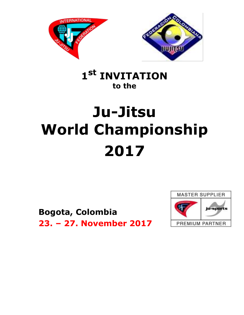



## 1<sup>st</sup> INVITATION to the

# Ju-Jitsu **World Championship** 2017

**Bogota, Colombia** 23. - 27. November 2017

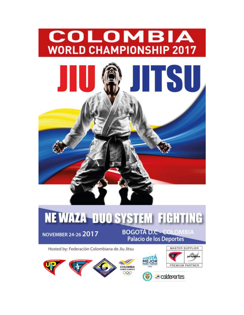

**NOVEMBER 24-26 2017** 

**BOGOTÁ D.C - COLOMBIA** Palacio de los Deportes

Hosted by: Federación Colombiana de Jiu Jitsu







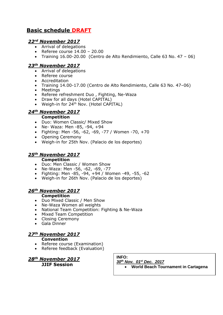## **Basic schedule DRAFT**

## *22rd November 2017*

- Arrival of delegations
- Referee course  $14.00 20.00$
- Training 16.00-20.00 (Centro de Alto Rendimiento, Calle 63 No. 47 06)

#### *23th November 2017*

- Arrival of delegations
- Referee course
- Accreditation
- Training 14.00-17.00 (Centro de Alto Rendimiento, Calle 63 No. 47–06)
- Meetings
- Referee refreshment Duo , Fighting, Ne-Waza
- Draw for all days (Hotel CAPITAL)
- Weigh-in for 24<sup>th</sup> Nov. (Hotel CAPITAL)

## *24th November 2017*

#### **Competition**

- Duo: Women Classic/ Mixed Show
- Ne- Waza: Men -85, -94, +94
- Fighting: Men -56, -62, -69, -77 / Women -70, +70
- Opening Ceremony
- Weigh-in for 25th Nov. (Palacio de los deportes)

#### *25th November 2017*

#### **Competition**

- Duo: Men Classic / Women Show
- Ne-Waza: Men -56, -62, -69, -77
- Fighting: Men -85, -94, +94 / Women -49, -55, -62
- Weigh-in for 26th Nov. (Palacio de los deportes)

#### *26th November 2017*

#### **Competition**

- Duo Mixed Classic / Men Show
- Ne-Waza Women all weights
- National Team Competition: Fighting & Ne-Waza
- Mixed Team Competition
- Closing Ceremony
- Gala Dinner

## *27th November 2017*

- **Convention**
- Referee course (Examination)
- Referee feedback (Evaluation)

*28th November 2017* **JJIF Session**

**INFO:**

*30th Nov. 01st Dec. 2017*

**World Beach Tournament in Cartagena**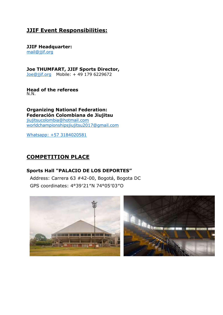## **JJIF Event Responsibilities:**

**JJIF Headquarter:**  [mail@jjif.org](mailto:mail@jjif.org)

**Joe THUMFART, JJIF Sports Director,** Joe@jjif.org Mobile: + 49 179 6229672

**Head of the referees**  N.N.

**Organizing National Federation: Federación Colombiana de Jiujitsu** [jiujitsucolombia@hotmail.com](mailto:jiujitsucolombia@hotmail.com) [worldchampionshipsjiujitsu2017@gmail.com](mailto:worldchampionshipsjiujitsu2017@gmail.com)

Whatsapp: +57 3184020581

## **COMPETITION PLACE**

## **Sports Hall "PALACIO DE LOS DEPORTES"**

Address: Carrera 63 #42-00, Bogotá, Bogota DC GPS coordinates: 4°39′21″N 74°05′03″O

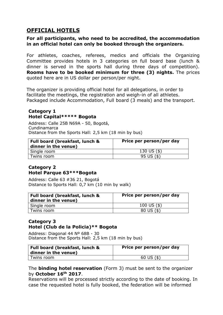## **OFFICIAL HOTELS**

#### **For all participants, who need to be accredited, the accommodation in an official hotel can only be booked through the organizers.**

For athletes, coaches, referees, medics and officials the Organizing Committee provides hotels in 3 categories on full board base (lunch & dinner is served in the sports hall during three days of competition). **Rooms have to be booked minimum for three (3) nights.** The prices quoted here are in US dollar per person/per night.

The organizer is providing official hotel for all delegations, in order to facilitate the meetings, the registration and weigh-in of all athletes. Packaged include Accommodation, Full board (3 meals) and the transport.

## **Category 1 Hotel Capital\*\*\*\*\* Bogota**

Address: Calle 25B N69A - 50, Bogotá, Cundinamarca Distance from the Sports Hall: 2,5 km (18 min by bus)

| Full board (breakfast, lunch &<br>dinner in the venue) | Price per person/per day |
|--------------------------------------------------------|--------------------------|
| Single room                                            | 130 US $($ \$)           |
| Twins room                                             | $95 \text{ US } (\$)$    |

## **Category 2 Hotel Parque 63\*\*\*Bogota**

Address: Calle 63 #36 21, Bogotá Distance to Sports Hall: 0,7 km (10 min by walk)

| Full board (breakfast, lunch &<br>dinner in the venue) | Price per person/per day       |
|--------------------------------------------------------|--------------------------------|
| Single room                                            | 100 US $($ \$)                 |
| Twins room                                             | $80 \text{ US } (\frac{4}{3})$ |

## **Category 3 Hotel (Club de la Policia)\*\* Bogota**

Address: Diagonal 44 Nº 68B - 30 Distance from the Sports Hall: 2,5 km (18 min by bus)

| Full board (breakfast, lunch &<br>$\vert$ dinner in the venue) | Price per person/per day |
|----------------------------------------------------------------|--------------------------|
| Twins room                                                     | 60 US $($ \$)            |

## The **binding hotel reservation** (Form 3) must be sent to the organizer by **October 16th 2017**.

Reservations will be processed strictly according to the date of booking. In case the requested hotel is fully booked, the federation will be informed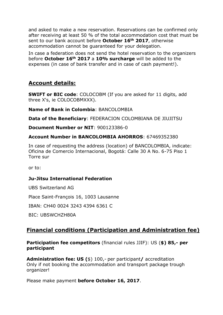and asked to make a new reservation. Reservations can be confirmed only after receiving at least 50 % of the total accommodation cost that must be sent to our bank account before **October 16th 2017**, otherwise accommodation cannot be guaranteed for your delegation.

In case a federation does not send the hotel reservation to the organizers before **October 16th 2017** a **10% surcharge** will be added to the expenses (in case of bank transfer and in case of cash payment!).

## **Account details:**

**SWIFT or BIC code**: COLOCOBM (If you are asked for 11 digits, add three X's, ie COLOCOBMXXX).

**Name of Bank in Colombia: BANCOLOMBIA** 

**Data of the Beneficiary**: FEDERACION COLOMBIANA DE JIUJITSU

**Document Number or NIT**: 900123386-0

## **Account Number in BANCOLOMBIA AHORROS**: 67469352380

In case of requesting the address (location) of BANCOLOMBIA, indicate: Oficina de Comercio Internacional, Bogotá: Calle 30 A No. 6-75 Piso 1 Torre sur

or to:

## **Ju-Jitsu International Federation**

UBS Switzerland AG

Place Saint-François 16, 1003 Lausanne

IBAN: CH40 0024 3243 4394 6361 C

BIC: UBSWCHZH80A

## **Financial conditions (Participation and Administration fee)**

**Participation fee competitors** (financial rules JJIF): US (**\$) 85,- per participant** 

**Administration fee: US (**\$) 100,- per participant**/** accreditation Only if not booking the accommodation and transport package trough organizer!

Please make payment **before October 16, 2017**.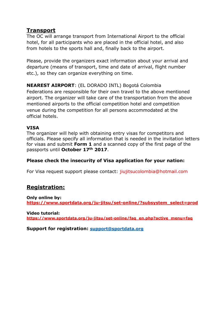## **Transport**

The OC will arrange transport from International Airport to the official hotel, for all participants who are placed in the official hotel, and also from hotels to the sports hall and, finally back to the airport.

Please, provide the organizers exact information about your arrival and departure (means of transport, time and date of arrival, flight number etc.), so they can organize everything on time.

**NEAREST AIRPORT**: (EL DORADO INTL) Bogotá Colombia Federations are responsible for their own travel to the above mentioned airport. The organizer will take care of the transportation from the above mentioned airports to the official competition hotel and competition venue during the competition for all persons accommodated at the official hotels.

## **VISA**

The organizer will help with obtaining entry visas for competitors and officials. Please specify all information that is needed in the invitation letters for visas and submit **Form 1** and a scanned copy of the first page of the passports until **October 17th 2017**.

## **Please check the insecurity of Visa application for your nation:**

For Visa request support please contact: jiujitsucolombia@hotmail.com

## **Registration:**

**Only online by: [https://www.sportdata.org/ju-jitsu/set-online/?subsystem\\_select=prod](https://www.sportdata.org/ju-jitsu/set-online/?subsystem_select=prod)**

**Video tutorial: [https://www.sportdata.org/ju-jitsu/set-online/faq\\_en.php?active\\_menu=faq](https://www.sportdata.org/ju-jitsu/set-online/faq_en.php?active_menu=faq)**

**Support for registration: [support@sportdata.org](mailto:support@sportdata.org)**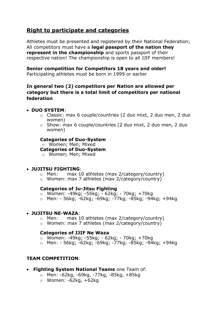## **Right to participate and categories**

Athletes must be presented and registered by their National Federation; All competitors must have a **legal passport of the nation they represent in the championship** and sports passport of their respective nation! The championship is open to all JJIF members!

## **Senior competition for Competitors 18 years and older!**

Participating athletes must be born in 1999 or earlier

## **In general two (2) competitors per Nation are allowed per category but there is a total limit of competitors per national federation**

## **DUO SYSTEM**:

- o Classic: max 6 couple/countries (2 duo mixt, 2 duo men, 2 duo women)
- o Show: max 6 couple/countries (2 duo mixt, 2 duo men, 2 duo women)

#### **Categories of Duo-System**

o Women; Men; Mixed

**Categories of Duo-System**

o Women; Men; Mixed

#### **JUJITSU FIGHTING**:

- o Men: max 10 athletes (max 2/category/country)
- o Women: max 7 athletes (max 2/category/country)

#### **Categories of Ju-Jitsu Fighting**

- o Women: -49kg; -55kg; 62kg; 70kg; +70kg
- o Men: 56kg; -62kg; -69kg; -77kg; -85kg; -94kg; +94kg

#### **JUJITSU NE-WAZA**:

- o Men: max 10 athletes (max 2/category/country)
- o Women: max 7 athletes (max 2/category/country)

#### **Categories of JJIF Ne Waza**

- o Women: -49kg; -55kg; 62kg; 70kg; +70kg
- o Men: 56kg; -62kg; -69kg; -77kg; -85kg; -94kg; +94kg

## **TEAM COMPETITION**:

- **Fighting System National Teams** one Team of:
	- o Men: -62kg, -69kg, -77kg, -85kg, +85kg
	- $\circ$  Women: -62kg, +62kg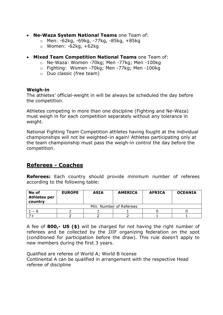- **Ne-Waza System National Teams** one Team of:
	- o Men: -62kg, -69kg, -77kg, -85kg, +85kg
	- $\circ$  Women: -62kg, +62kg
- **Mixed Team Competition National Teams** one Team of:
	- o Ne-Waza: Women -70kg; Men -77kg; Men -100kg
	- o Fighting: Women -70kg; Men -77kg; Men -100kg
	- o Duo classic (free team)

## **Weigh-in**

The athletes' official-weight in will be always be scheduled the day before the competition.

Athletes competing in more than one discipline (Fighting and Ne-Waza) must weigh in for each competition separately without any tolerance in weight.

National Fighting Team Competition athletes having fought at the individual championships will not be weighted–in again! Athletes participating only at the team championship must pass the weigh-in control the day before the competition.

## **Referees - Coaches**

**Referees:** Each country should provide minimum number of referees according to the following table:

| No of<br><b>Athletes per</b><br>country | <b>EUROPE</b> | <b>ASIA</b> | <b>AMERICA</b> | <b>AFRICA</b> | <b>OCEANIA</b> |  |  |
|-----------------------------------------|---------------|-------------|----------------|---------------|----------------|--|--|
| Min. Number of Referees                 |               |             |                |               |                |  |  |
| h                                       |               |             |                |               |                |  |  |
|                                         |               |             |                |               |                |  |  |

A fee of **800,- US (\$)** will be charged for not having the right number of referees and be collected by the JJIF organizing federation on the spot (conditioned for participation before the draw). This rule doesn't apply to new members during the first 3 years.

Qualified are referee of World A; World B license Continental A can be qualified in arrangement with the respective Head referee of discipline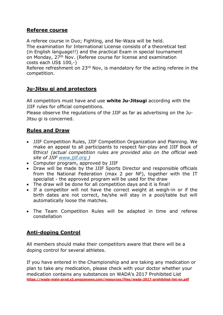## **Referee course**

A referee course in Duo; Fighting, and Ne-Waza will be held. The examination for International License consists of a theoretical test (in English language!!) and the practical Exam in special tournament on Monday, 27<sup>th</sup> Nov. (Referee course for license and examination costs each US\$ 100,-)

Referee refreshment on 23<sup>rd</sup> Nov, is mandatory for the acting referee in the competition.

## **Ju-Jitsu gi and protectors**

All competitors must have and use **white Ju-Jitsugi** according with the JJIF rules for official competitions.

Please observe the regulations of the JJIF as far as advertising on the Ju-Jitsu gi is concerned.

## **Rules and Draw**

- JJIF Competition Rules, JJIF Competition Organization and Planning. We make an appeal to all participants to respect fair-play and JJIF Book of Ethics! *(actual competition rules are provided also on the official web site of JJIF [www.jjif.org](http://www.jjif.org/) )*
- Computer program, approved by JJIF
- Draw will be made by the JJIF Sports Director and responsible officials from the National Federation (max 2 per NF), together with the IT specialist - the approved program will be used for the draw
- The draw will be done for all competition days and it is final!
- If a competitor will not have the correct weight at weigh-in or if the birth dates are not correct, he/she will stay in a pool/table but will automatically loose the matches.
- The Team Competition Rules will be adapted in time and referee constellation

## **Anti-doping Control**

All members should make their competitors aware that there will be a doping control for several athletes.

If you have entered in the Championship and are taking any medication or plan to take any medication, please check with your doctor whether your medication contains any substances on WADA's 2017 Prohibited List **[https://wada-main-prod.s3.amazonaws.com/resources/files/wada-2017-prohibited-list-en.pdf](https://wada-main-prod.s3.amazonaws.com/resources/files/wada-2016-prohibited-list-en.pdf)**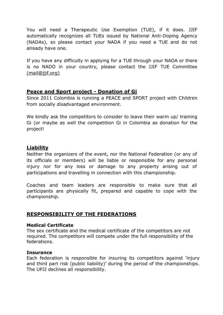You will need a Therapeutic Use Exemption (TUE), if it does. JJIF automatically recognizes all TUEs issued by National Anti-Doping Agency (NADAs), so please contact your NADA if you need a TUE and do not already have one.

If you have any difficulty in applying for a TUE through your NADA or there is no NADO in your country, please contact the JJIF TUE Committee [\(mail@jjif.org\)](mailto:(mail@jjif.org))

## **Peace and Sport project - Donation of Gi**

Since 2011 Colombia is running a PEACE and SPORT project with Children from socially disadvantaged environment.

We kindly ask the competitors to consider to leave their warm up/ training Gi (or maybe as well the competition Gi in Colombia as donation for the project!

## **Liability**

Neither the organizers of the event, nor the National Federation (or any of its officials or members) will be liable or responsible for any personal injury nor for any loss or damage to any property arising out of participations and travelling in connection with this championship.

Coaches and team leaders are responsible to make sure that all participants are physically fit, prepared and capable to cope with the championship.

## **RESPONSIBILITY OF THE FEDERATIONS**

## **Medical Certificate**

The sex certificate and the medical certificate of the competitors are not required. The competitors will compete under the full responsibility of the federations.

## **Insurance**

Each federation is responsible for insuring its competitors against 'injury and third part risk (public liability)' during the period of the championships. The UPJJ declines all responsibility.